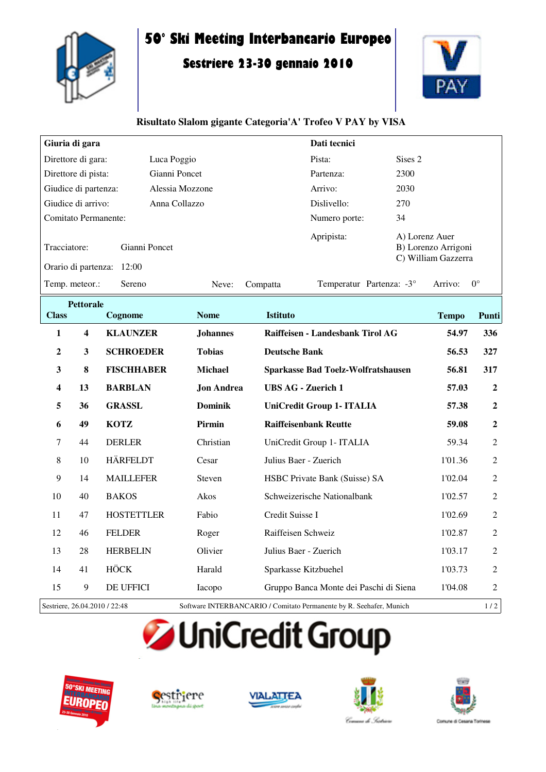

# **50° Ski Meeting Interbancario Europeo**

## **Sestriere 23-30 gennaio 2010**



#### **Risultato Slalom gigante Categoria'A' Trofeo V PAY by VISA**

| Giuria di gara                                                |               |                 |            | Dati tecnici                                                 |                        |  |
|---------------------------------------------------------------|---------------|-----------------|------------|--------------------------------------------------------------|------------------------|--|
| Direttore di gara:                                            | Luca Poggio   |                 |            |                                                              | Sises 2                |  |
| Direttore di pista:                                           | Gianni Poncet |                 |            |                                                              | 2300                   |  |
| Giudice di partenza:                                          |               | Alessia Mozzone |            |                                                              | 2030                   |  |
| Giudice di arrivo:                                            | Anna Collazzo |                 |            |                                                              | 270                    |  |
| Comitato Permanente:                                          |               |                 |            | Numero porte:                                                | 34                     |  |
| Tracciatore:<br>Gianni Poncet<br>Orario di partenza:<br>12:00 |               |                 | Apripista: | A) Lorenz Auer<br>B) Lorenzo Arrigoni<br>C) William Gazzerra |                        |  |
| Temp. meteor.:                                                | Sereno        | Neve:           | Compatta   | Temperatur Partenza: -3°                                     | $0^{\circ}$<br>Arrivo: |  |

| <b>Pettorale</b>              |                         |                   |                   |                                                                     |              |                  |
|-------------------------------|-------------------------|-------------------|-------------------|---------------------------------------------------------------------|--------------|------------------|
| <b>Class</b>                  |                         | Cognome           | <b>Nome</b>       | <b>Istituto</b>                                                     | <b>Tempo</b> | Punti            |
| 1                             | $\overline{\mathbf{4}}$ | <b>KLAUNZER</b>   | <b>Johannes</b>   | Raiffeisen - Landesbank Tirol AG                                    | 54.97        | 336              |
| $\boldsymbol{2}$              | $\mathbf{3}$            | <b>SCHROEDER</b>  | <b>Tobias</b>     | <b>Deutsche Bank</b>                                                | 56.53        | 327              |
| 3                             | 8                       | <b>FISCHHABER</b> | <b>Michael</b>    | <b>Sparkasse Bad Toelz-Wolfratshausen</b>                           | 56.81        | 317              |
| $\overline{\mathbf{4}}$       | 13                      | <b>BARBLAN</b>    | <b>Jon Andrea</b> | <b>UBS AG - Zuerich 1</b>                                           | 57.03        | $\boldsymbol{2}$ |
| 5                             | 36                      | <b>GRASSL</b>     | <b>Dominik</b>    | UniCredit Group 1- ITALIA                                           | 57.38        | $\overline{2}$   |
| 6                             | 49                      | <b>KOTZ</b>       | Pirmin            | <b>Raiffeisenbank Reutte</b>                                        | 59.08        | $\boldsymbol{2}$ |
| 7                             | 44                      | <b>DERLER</b>     | Christian         | UniCredit Group 1- ITALIA                                           | 59.34        | $\overline{2}$   |
| 8                             | 10                      | <b>HÄRFELDT</b>   | Cesar             | Julius Baer - Zuerich                                               | 1'01.36      | $\mathfrak{2}$   |
| 9                             | 14                      | <b>MAILLEFER</b>  | Steven            | HSBC Private Bank (Suisse) SA                                       | 1'02.04      | $\overline{2}$   |
| 10                            | 40                      | <b>BAKOS</b>      | Akos              | Schweizerische Nationalbank                                         | 1'02.57      | $\mathfrak{2}$   |
| 11                            | 47                      | <b>HOSTETTLER</b> | Fabio             | Credit Suisse I                                                     | 1'02.69      | $\mathfrak{2}$   |
| 12                            | 46                      | <b>FELDER</b>     | Roger             | Raiffeisen Schweiz                                                  | 1'02.87      | $\overline{2}$   |
| 13                            | 28                      | <b>HERBELIN</b>   | Olivier           | Julius Baer - Zuerich                                               | 1'03.17      | $\overline{2}$   |
| 14                            | 41                      | <b>HÖCK</b>       | Harald            | Sparkasse Kitzbuehel                                                | 1'03.73      | $\overline{2}$   |
| 15                            | $\boldsymbol{9}$        | <b>DE UFFICI</b>  | Iacopo            | Gruppo Banca Monte dei Paschi di Siena                              | 1'04.08      | $\overline{2}$   |
| Sestriere, 26.04.2010 / 22:48 |                         |                   |                   | Software INTERBANCARIO / Comitato Permanente by R. Seehafer, Munich |              | 1/2              |

# **JUniCredit Group**